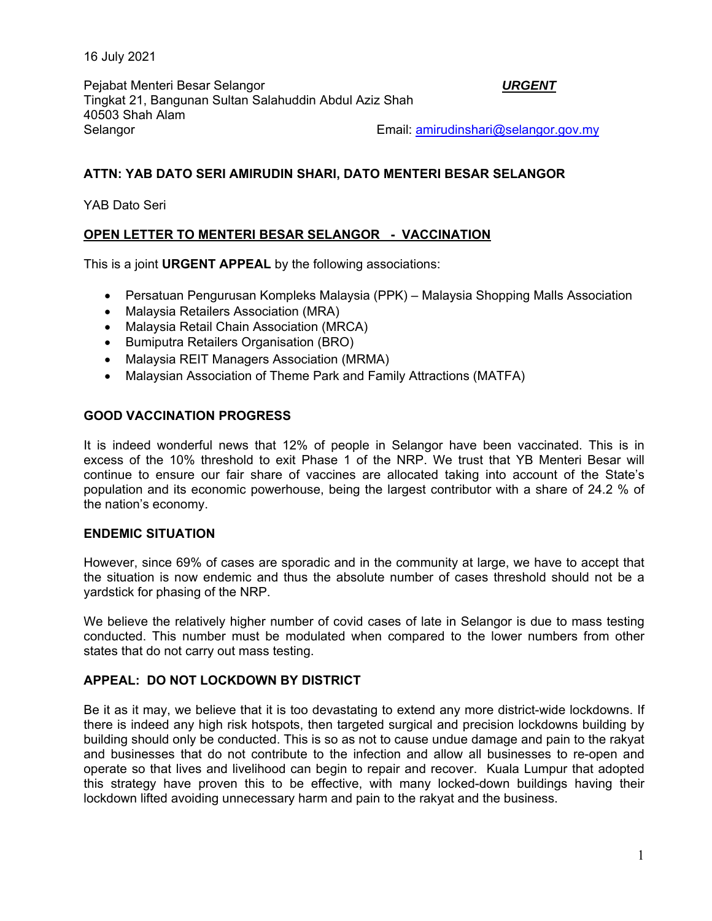16 July 2021

Pejabat Menteri Besar Selangor *URGENT*  Tingkat 21, Bangunan Sultan Salahuddin Abdul Aziz Shah 40503 Shah Alam Selangor Email: amirudinshari@selangor.gov.my

## **ATTN: YAB DATO SERI AMIRUDIN SHARI, DATO MENTERI BESAR SELANGOR**

YAB Dato Seri

# **OPEN LETTER TO MENTERI BESAR SELANGOR - VACCINATION**

This is a joint **URGENT APPEAL** by the following associations:

- Persatuan Pengurusan Kompleks Malaysia (PPK) Malaysia Shopping Malls Association
- Malaysia Retailers Association (MRA)
- Malaysia Retail Chain Association (MRCA)
- Bumiputra Retailers Organisation (BRO)
- Malaysia REIT Managers Association (MRMA)
- Malaysian Association of Theme Park and Family Attractions (MATFA)

## **GOOD VACCINATION PROGRESS**

It is indeed wonderful news that 12% of people in Selangor have been vaccinated. This is in excess of the 10% threshold to exit Phase 1 of the NRP. We trust that YB Menteri Besar will continue to ensure our fair share of vaccines are allocated taking into account of the State's population and its economic powerhouse, being the largest contributor with a share of 24.2 % of the nation's economy.

#### **ENDEMIC SITUATION**

However, since 69% of cases are sporadic and in the community at large, we have to accept that the situation is now endemic and thus the absolute number of cases threshold should not be a yardstick for phasing of the NRP.

We believe the relatively higher number of covid cases of late in Selangor is due to mass testing conducted. This number must be modulated when compared to the lower numbers from other states that do not carry out mass testing.

#### **APPEAL: DO NOT LOCKDOWN BY DISTRICT**

Be it as it may, we believe that it is too devastating to extend any more district-wide lockdowns. If there is indeed any high risk hotspots, then targeted surgical and precision lockdowns building by building should only be conducted. This is so as not to cause undue damage and pain to the rakyat and businesses that do not contribute to the infection and allow all businesses to re-open and operate so that lives and livelihood can begin to repair and recover. Kuala Lumpur that adopted this strategy have proven this to be effective, with many locked-down buildings having their lockdown lifted avoiding unnecessary harm and pain to the rakyat and the business.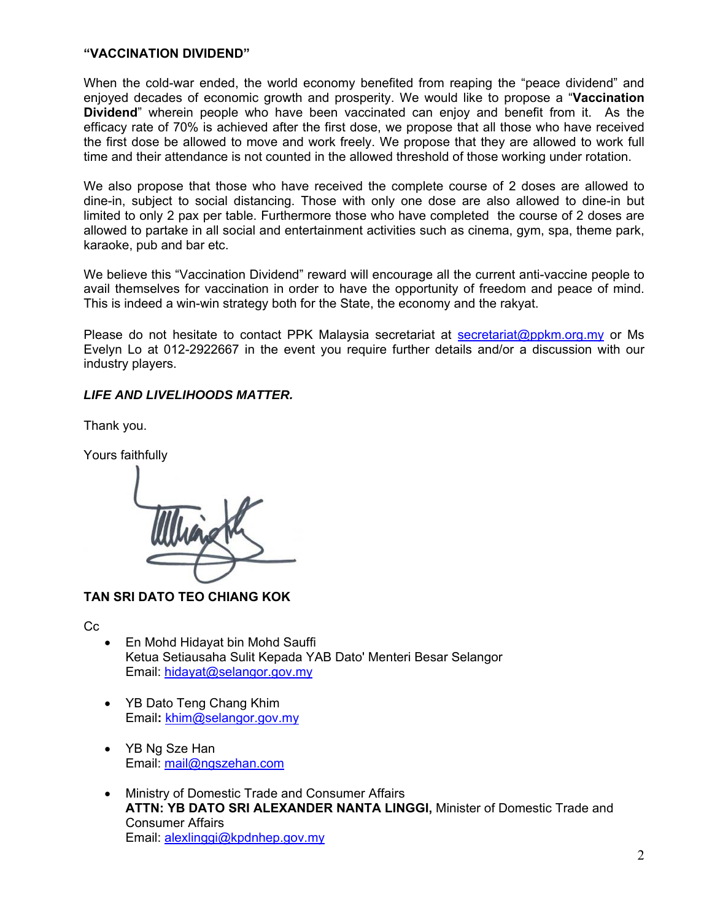## **"VACCINATION DIVIDEND"**

When the cold-war ended, the world economy benefited from reaping the "peace dividend" and enjoyed decades of economic growth and prosperity. We would like to propose a "**Vaccination Dividend**" wherein people who have been vaccinated can enjoy and benefit from it. As the efficacy rate of 70% is achieved after the first dose, we propose that all those who have received the first dose be allowed to move and work freely. We propose that they are allowed to work full time and their attendance is not counted in the allowed threshold of those working under rotation.

We also propose that those who have received the complete course of 2 doses are allowed to dine-in, subject to social distancing. Those with only one dose are also allowed to dine-in but limited to only 2 pax per table. Furthermore those who have completed the course of 2 doses are allowed to partake in all social and entertainment activities such as cinema, gym, spa, theme park, karaoke, pub and bar etc.

We believe this "Vaccination Dividend" reward will encourage all the current anti-vaccine people to avail themselves for vaccination in order to have the opportunity of freedom and peace of mind. This is indeed a win-win strategy both for the State, the economy and the rakyat.

Please do not hesitate to contact PPK Malaysia secretariat at secretariat@ppkm.org.my or Ms Evelyn Lo at 012-2922667 in the event you require further details and/or a discussion with our industry players.

## *LIFE AND LIVELIHOODS MATTER.*

Thank you.

Yours faithfully

**TAN SRI DATO TEO CHIANG KOK** 

Cc

- En Mohd Hidayat bin Mohd Sauffi Ketua Setiausaha Sulit Kepada YAB Dato' Menteri Besar Selangor Email: hidayat@selangor.gov.my
- YB Dato Teng Chang Khim Email**:** khim@selangor.gov.my
- YB Ng Sze Han Email: mail@ngszehan.com
- Ministry of Domestic Trade and Consumer Affairs **ATTN: YB DATO SRI ALEXANDER NANTA LINGGI,** Minister of Domestic Trade and Consumer Affairs Email: alexlinggi@kpdnhep.gov.my